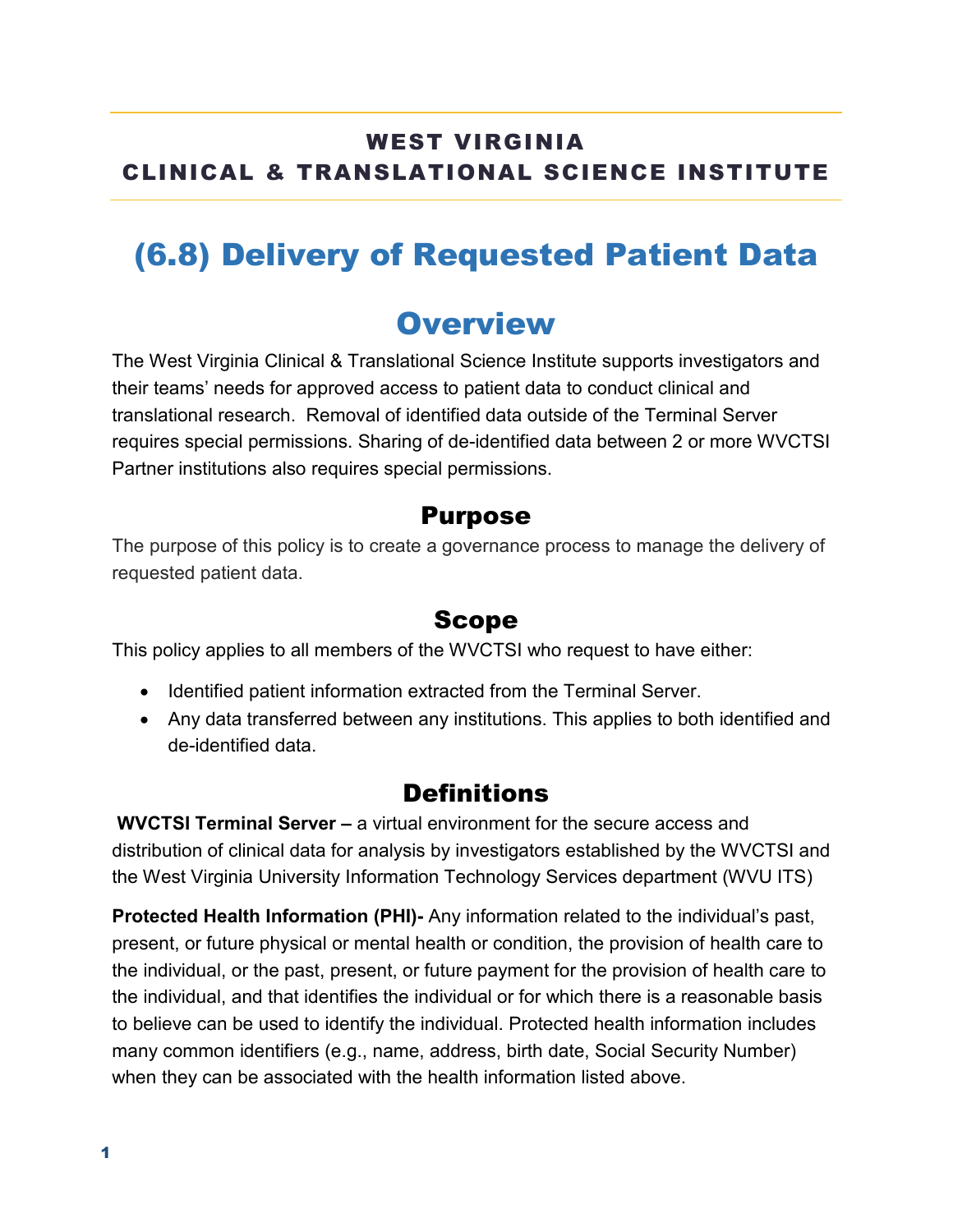## WEST VIRGINIA CLINICAL & TRANSLATIONAL SCIENCE INSTITUTE

# (6.8) Delivery of Requested Patient Data

## **Overview**

The West Virginia Clinical & Translational Science Institute supports investigators and their teams' needs for approved access to patient data to conduct clinical and translational research. Removal of identified data outside of the Terminal Server requires special permissions. Sharing of de-identified data between 2 or more WVCTSI Partner institutions also requires special permissions.

#### Purpose

The purpose of this policy is to create a governance process to manage the delivery of requested patient data.

### Scope

This policy applies to all members of the WVCTSI who request to have either:

- Identified patient information extracted from the Terminal Server.
- Any data transferred between any institutions. This applies to both identified and de-identified data.

## **Definitions**

**WVCTSI Terminal Server –** a virtual environment for the secure access and distribution of clinical data for analysis by investigators established by the WVCTSI and the West Virginia University Information Technology Services department (WVU ITS)

**Protected Health Information (PHI)-** Any information related to the individual's past, present, or future physical or mental health or condition, the provision of health care to the individual, or the past, present, or future payment for the provision of health care to the individual, and that identifies the individual or for which there is a reasonable basis to believe can be used to identify the individual. Protected health information includes many common identifiers (e.g., name, address, birth date, Social Security Number) when they can be associated with the health information listed above.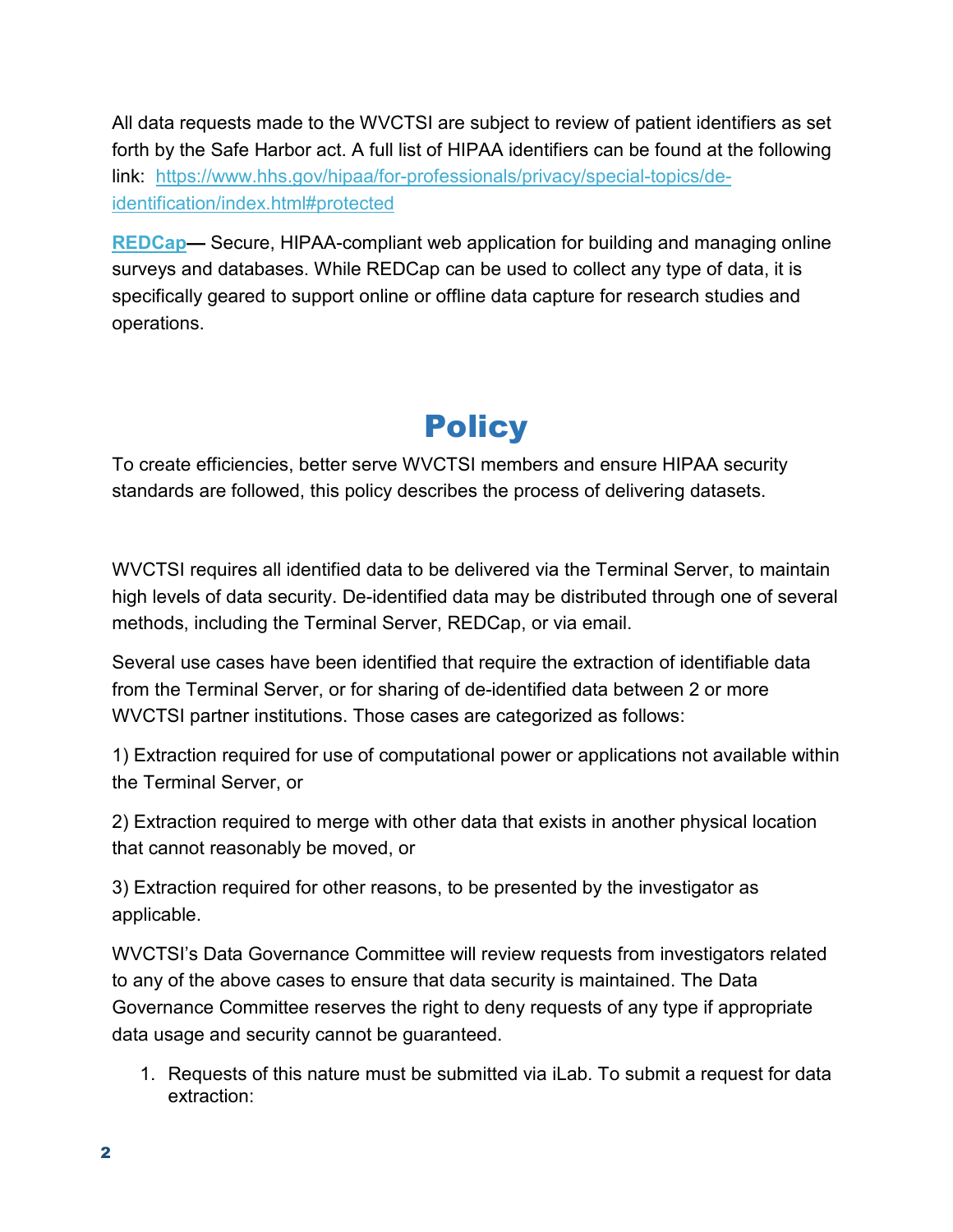All data requests made to the WVCTSI are subject to review of patient identifiers as set forth by the Safe Harbor act. A full list of HIPAA identifiers can be found at the following link: [https://www.hhs.gov/hipaa/for-professionals/privacy/special-topics/de](https://www.hhs.gov/hipaa/for-professionals/privacy/special-topics/de-identification/index.html#protected)[identification/index.html#protected](https://www.hhs.gov/hipaa/for-professionals/privacy/special-topics/de-identification/index.html#protected)

**[REDCap—](https://redcap.wvctsi.org/redcap/)** Secure, HIPAA-compliant web application for building and managing online surveys and databases. While REDCap can be used to collect any type of data, it is specifically geared to support online or offline data capture for research studies and operations.

# **Policy**

To create efficiencies, better serve WVCTSI members and ensure HIPAA security standards are followed, this policy describes the process of delivering datasets.

WVCTSI requires all identified data to be delivered via the Terminal Server, to maintain high levels of data security. De-identified data may be distributed through one of several methods, including the Terminal Server, REDCap, or via email.

Several use cases have been identified that require the extraction of identifiable data from the Terminal Server, or for sharing of de-identified data between 2 or more WVCTSI partner institutions. Those cases are categorized as follows:

1) Extraction required for use of computational power or applications not available within the Terminal Server, or

2) Extraction required to merge with other data that exists in another physical location that cannot reasonably be moved, or

3) Extraction required for other reasons, to be presented by the investigator as applicable.

WVCTSI's Data Governance Committee will review requests from investigators related to any of the above cases to ensure that data security is maintained. The Data Governance Committee reserves the right to deny requests of any type if appropriate data usage and security cannot be guaranteed.

1. Requests of this nature must be submitted via iLab. To submit a request for data extraction: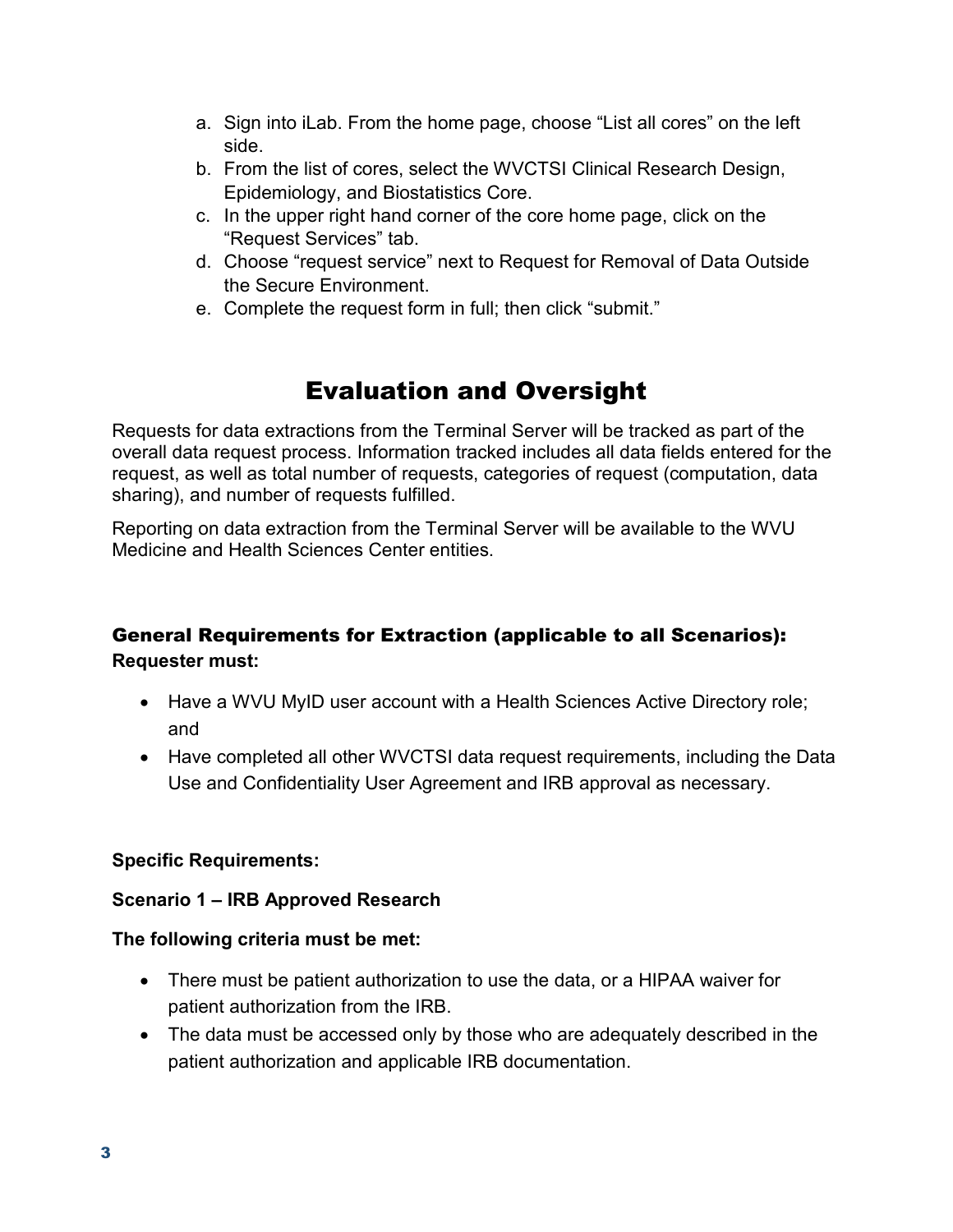- a. Sign into iLab. From the home page, choose "List all cores" on the left side.
- b. From the list of cores, select the WVCTSI Clinical Research Design, Epidemiology, and Biostatistics Core.
- c. In the upper right hand corner of the core home page, click on the "Request Services" tab.
- d. Choose "request service" next to Request for Removal of Data Outside the Secure Environment.
- e. Complete the request form in full; then click "submit."

## Evaluation and Oversight

Requests for data extractions from the Terminal Server will be tracked as part of the overall data request process. Information tracked includes all data fields entered for the request, as well as total number of requests, categories of request (computation, data sharing), and number of requests fulfilled.

Reporting on data extraction from the Terminal Server will be available to the WVU Medicine and Health Sciences Center entities.

#### General Requirements for Extraction (applicable to all Scenarios): **Requester must:**

- Have a WVU MyID user account with a Health Sciences Active Directory role; and
- Have completed all other WVCTSI data request requirements, including the Data Use and Confidentiality User Agreement and IRB approval as necessary.

#### **Specific Requirements:**

#### **Scenario 1 – IRB Approved Research**

#### **The following criteria must be met:**

- There must be patient authorization to use the data, or a HIPAA waiver for patient authorization from the IRB.
- The data must be accessed only by those who are adequately described in the patient authorization and applicable IRB documentation.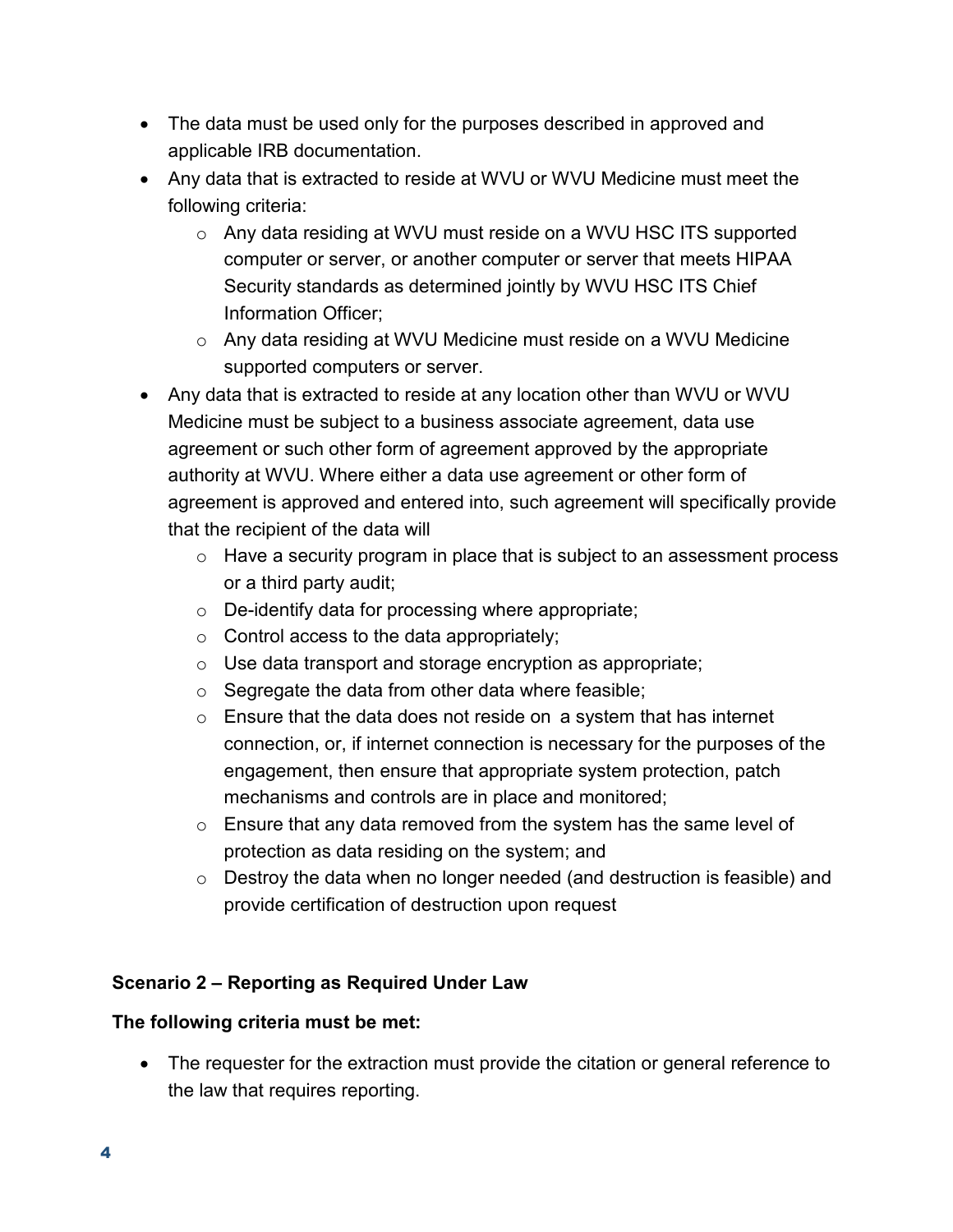- The data must be used only for the purposes described in approved and applicable IRB documentation.
- Any data that is extracted to reside at WVU or WVU Medicine must meet the following criteria:
	- $\circ$  Any data residing at WVU must reside on a WVU HSC ITS supported computer or server, or another computer or server that meets HIPAA Security standards as determined jointly by WVU HSC ITS Chief Information Officer;
	- o Any data residing at WVU Medicine must reside on a WVU Medicine supported computers or server.
- Any data that is extracted to reside at any location other than WVU or WVU Medicine must be subject to a business associate agreement, data use agreement or such other form of agreement approved by the appropriate authority at WVU. Where either a data use agreement or other form of agreement is approved and entered into, such agreement will specifically provide that the recipient of the data will
	- o Have a security program in place that is subject to an assessment process or a third party audit;
	- $\circ$  De-identify data for processing where appropriate;
	- $\circ$  Control access to the data appropriately;
	- o Use data transport and storage encryption as appropriate;
	- $\circ$  Segregate the data from other data where feasible;
	- $\circ$  Ensure that the data does not reside on a system that has internet connection, or, if internet connection is necessary for the purposes of the engagement, then ensure that appropriate system protection, patch mechanisms and controls are in place and monitored;
	- $\circ$  Ensure that any data removed from the system has the same level of protection as data residing on the system; and
	- o Destroy the data when no longer needed (and destruction is feasible) and provide certification of destruction upon request

#### **Scenario 2 – Reporting as Required Under Law**

#### **The following criteria must be met:**

• The requester for the extraction must provide the citation or general reference to the law that requires reporting.